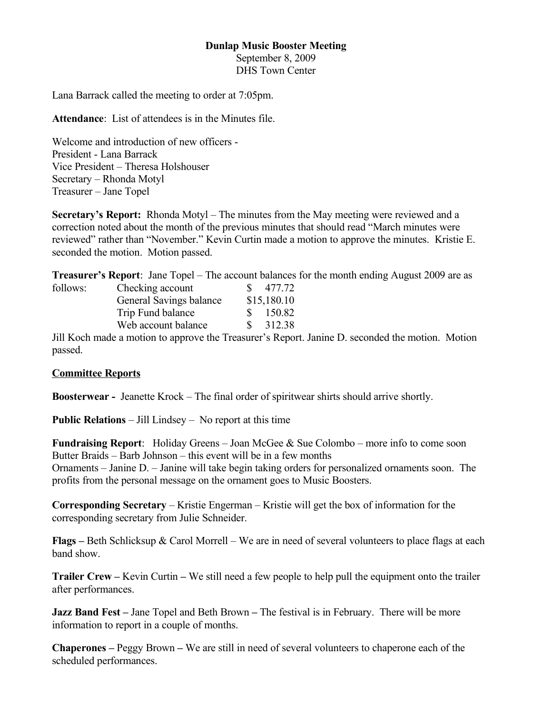### **Dunlap Music Booster Meeting**

September 8, 2009 DHS Town Center

Lana Barrack called the meeting to order at 7:05pm.

**Attendance**: List of attendees is in the Minutes file.

Welcome and introduction of new officers - President - Lana Barrack Vice President – Theresa Holshouser Secretary – Rhonda Motyl Treasurer – Jane Topel

**Secretary's Report:** Rhonda Motyl – The minutes from the May meeting were reviewed and a correction noted about the month of the previous minutes that should read "March minutes were reviewed" rather than "November." Kevin Curtin made a motion to approve the minutes. Kristie E. seconded the motion. Motion passed.

**Treasurer's Report**: Jane Topel – The account balances for the month ending August 2009 are as

| follows: | Checking account                                                                                                | SS.         | 477.72 |
|----------|-----------------------------------------------------------------------------------------------------------------|-------------|--------|
|          | General Savings balance                                                                                         | \$15,180.10 |        |
|          | Trip Fund balance                                                                                               | S.          | 150.82 |
|          | Web account balance                                                                                             | S.          | 312.38 |
| T11T     | the contract of the contract of the contract of the contract of the contract of the contract of the contract of |             |        |

Jill Koch made a motion to approve the Treasurer's Report. Janine D. seconded the motion. Motion passed.

#### **Committee Reports**

**Boosterwear -** Jeanette Krock – The final order of spiritwear shirts should arrive shortly.

**Public Relations** – Jill Lindsey – No report at this time

**Fundraising Report**: Holiday Greens – Joan McGee & Sue Colombo – more info to come soon Butter Braids – Barb Johnson – this event will be in a few months Ornaments – Janine D. – Janine will take begin taking orders for personalized ornaments soon. The profits from the personal message on the ornament goes to Music Boosters.

**Corresponding Secretary** – Kristie Engerman – Kristie will get the box of information for the corresponding secretary from Julie Schneider.

**Flags –** Beth Schlicksup & Carol Morrell – We are in need of several volunteers to place flags at each band show.

**Trailer Crew –** Kevin Curtin **–** We still need a few people to help pull the equipment onto the trailer after performances.

**Jazz Band Fest –** Jane Topel and Beth Brown **–** The festival is in February. There will be more information to report in a couple of months.

**Chaperones –** Peggy Brown **–** We are still in need of several volunteers to chaperone each of the scheduled performances.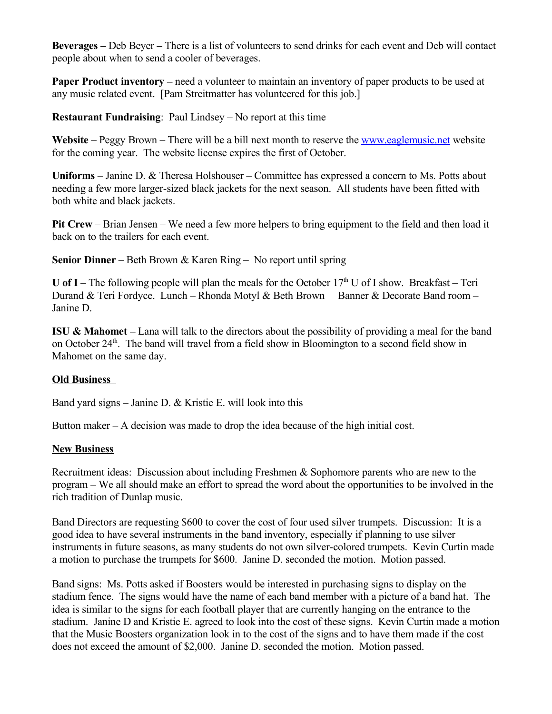**Beverages –** Deb Beyer **–** There is a list of volunteers to send drinks for each event and Deb will contact people about when to send a cooler of beverages.

**Paper Product inventory** – need a volunteer to maintain an inventory of paper products to be used at any music related event. [Pam Streitmatter has volunteered for this job.]

**Restaurant Fundraising**: Paul Lindsey – No report at this time

Website – Peggy Brown – There will be a bill next month to reserve the <u>www.eaglemusic.net</u> website for the coming year. The website license expires the first of October.

**Uniforms** – Janine D. & Theresa Holshouser – Committee has expressed a concern to Ms. Potts about needing a few more larger-sized black jackets for the next season. All students have been fitted with both white and black jackets.

**Pit Crew** – Brian Jensen – We need a few more helpers to bring equipment to the field and then load it back on to the trailers for each event.

**Senior Dinner** – Beth Brown & Karen Ring – No report until spring

**U** of I – The following people will plan the meals for the October  $17<sup>th</sup>$  U of I show. Breakfast – Teri Durand & Teri Fordyce. Lunch – Rhonda Motyl & Beth Brown Banner & Decorate Band room – Janine D.

**ISU & Mahomet –** Lana will talk to the directors about the possibility of providing a meal for the band on October 24<sup>th</sup>. The band will travel from a field show in Bloomington to a second field show in Mahomet on the same day.

### **Old Business**

Band yard signs – Janine D. & Kristie E. will look into this

Button maker  $-A$  decision was made to drop the idea because of the high initial cost.

#### **New Business**

Recruitment ideas: Discussion about including Freshmen & Sophomore parents who are new to the program – We all should make an effort to spread the word about the opportunities to be involved in the rich tradition of Dunlap music.

Band Directors are requesting \$600 to cover the cost of four used silver trumpets. Discussion: It is a good idea to have several instruments in the band inventory, especially if planning to use silver instruments in future seasons, as many students do not own silver-colored trumpets. Kevin Curtin made a motion to purchase the trumpets for \$600. Janine D. seconded the motion. Motion passed.

Band signs: Ms. Potts asked if Boosters would be interested in purchasing signs to display on the stadium fence. The signs would have the name of each band member with a picture of a band hat. The idea is similar to the signs for each football player that are currently hanging on the entrance to the stadium. Janine D and Kristie E. agreed to look into the cost of these signs. Kevin Curtin made a motion that the Music Boosters organization look in to the cost of the signs and to have them made if the cost does not exceed the amount of \$2,000. Janine D. seconded the motion. Motion passed.